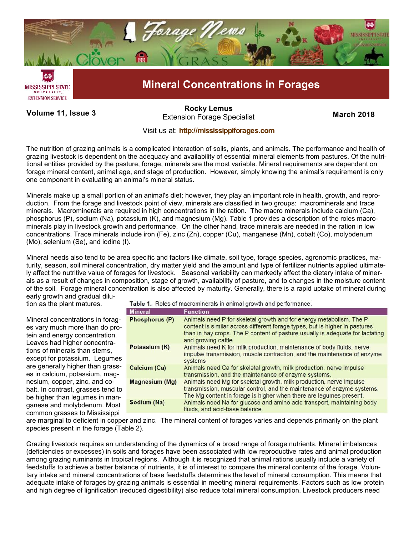

Volume 11, Issue 3 **March 2018 Extension Forage Specialist** March 2018 **[Rocky Lemus](mailto:RLemus@ext.msstate.edu?subject=Forage%20News:%20Janaury%202011)**

## Visit us at: **<http://mississippiforages.com>**

The nutrition of grazing animals is a complicated interaction of soils, plants, and animals. The performance and health of grazing livestock is dependent on the adequacy and availability of essential mineral elements from pastures. Of the nutritional entities provided by the pasture, forage, minerals are the most variable. Mineral requirements are dependent on forage mineral content, animal age, and stage of production. However, simply knowing the animal's requirement is only one component in evaluating an animal's mineral status.

Minerals make up a small portion of an animal's diet; however, they play an important role in health, growth, and reproduction. From the forage and livestock point of view, minerals are classified in two groups: macrominerals and trace minerals. Macrominerals are required in high concentrations in the ration. The macro minerals include calcium (Ca), phosphorus (P), sodium (Na), potassium (K), and magnesium (Mg). Table 1 provides a description of the roles macrominerals play in livestock growth and performance. On the other hand, trace minerals are needed in the ration in low concentrations. Trace minerals include iron (Fe), zinc (Zn), copper (Cu), manganese (Mn), cobalt (Co), molybdenum (Mo), selenium (Se), and iodine (I).

Mineral needs also tend to be area specific and factors like climate, soil type, forage species, agronomic practices, maturity, season, soil mineral concentration, dry matter yield and the amount and type of fertilizer nutrients applied ultimately affect the nutritive value of forages for livestock. Seasonal variability can markedly affect the dietary intake of minerals as a result of changes in composition, stage of growth, availability of pasture, and to changes in the moisture content of the soil. Forage mineral concentration is also affected by maturity. Generally, there is a rapid uptake of mineral during early growth and gradual dilu-

tion as the plant matures.

Mineral concentrations in forages vary much more than do protein and energy concentration. Leaves had higher concentrations of minerals than stems, except for potassium. Legumes are generally higher than grasses in calcium, potassium, magnesium, copper, zinc, and cobalt. In contrast, grasses tend to be higher than legumes in manganese and molybdenum. Most common grasses to Mississippi

Table 1 Roles of macrominerals in animal growth and performance

| $\frac{1}{2}$         |                                                                                                                                                                                                                                                           |  |  |  |
|-----------------------|-----------------------------------------------------------------------------------------------------------------------------------------------------------------------------------------------------------------------------------------------------------|--|--|--|
| <b>Mineral</b>        | <b>Function</b>                                                                                                                                                                                                                                           |  |  |  |
| Phosphorus (P)        | Animals need P for skeletal growth and for energy metabolism. The P<br>content is similar across different forage types, but is higher in pastures<br>than in hay crops. The P content of pasture usually is adequate for lactating<br>and growing cattle |  |  |  |
| Potassium (K)         | Animals need K for milk production, maintenance of body fluids, nerve<br>impulse transmission, muscle contraction, and the maintenance of enzyme<br>systems                                                                                               |  |  |  |
| Calcium (Ca)          | Animals need Ca for skeletal growth, milk production, nerve impulse<br>transmission, and the maintenance of enzyme systems.                                                                                                                               |  |  |  |
| <b>Magnesium (Mg)</b> | Animals need Mg for skeletal growth, milk production, nerve impulse<br>transmission, muscular control, and the maintenance of enzyme systems.<br>The Mg content in forage is higher when there are legumes present.                                       |  |  |  |
| Sodium (Na)           | Animals need Na for glucose and amino acid transport, maintaining body<br>fluids, and acid-base balance.                                                                                                                                                  |  |  |  |

are marginal to deficient in copper and zinc. The mineral content of forages varies and depends primarily on the plant species present in the forage (Table 2).

Grazing livestock requires an understanding of the dynamics of a broad range of forage nutrients. Mineral imbalances (deficiencies or excesses) in soils and forages have been associated with low reproductive rates and animal production among grazing ruminants in tropical regions. Although it is recognized that animal rations usually include a variety of feedstuffs to achieve a better balance of nutrients, it is of interest to compare the mineral contents of the forage. Voluntary intake and mineral concentrations of base feedstuffs determines the level of mineral consumption. This means that adequate intake of forages by grazing animals is essential in meeting mineral requirements. Factors such as low protein and high degree of lignification (reduced digestibility) also reduce total mineral consumption. Livestock producers need